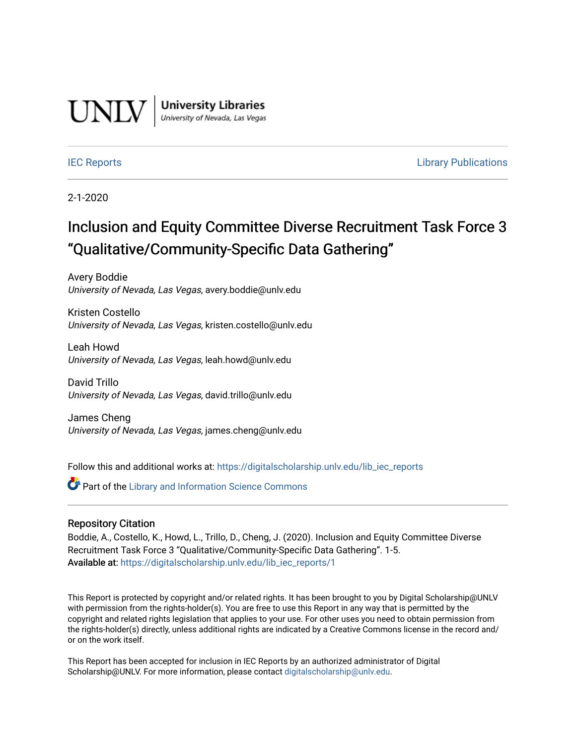

**University Libraries**<br>University of Nevada, Las Vegas

**[IEC Reports](https://digitalscholarship.unlv.edu/lib_iec_reports)** [Library Publications](https://digitalscholarship.unlv.edu/lib_pubs) **Library Publications** 

2-1-2020

#### Inclusion and Equity Committee Diverse Recruitment Task Force 3 "Qualitative/Community-Specific Data Gathering"

Avery Boddie University of Nevada, Las Vegas, avery.boddie@unlv.edu

Kristen Costello University of Nevada, Las Vegas, kristen.costello@unlv.edu

Leah Howd University of Nevada, Las Vegas, leah.howd@unlv.edu

David Trillo University of Nevada, Las Vegas, david.trillo@unlv.edu

James Cheng University of Nevada, Las Vegas, james.cheng@unlv.edu

Follow this and additional works at: [https://digitalscholarship.unlv.edu/lib\\_iec\\_reports](https://digitalscholarship.unlv.edu/lib_iec_reports?utm_source=digitalscholarship.unlv.edu%2Flib_iec_reports%2F1&utm_medium=PDF&utm_campaign=PDFCoverPages)

**Part of the Library and Information Science Commons** 

#### Repository Citation

Boddie, A., Costello, K., Howd, L., Trillo, D., Cheng, J. (2020). Inclusion and Equity Committee Diverse Recruitment Task Force 3 "Qualitative/Community-Specific Data Gathering". 1-5. Available at: [https://digitalscholarship.unlv.edu/lib\\_iec\\_reports/1](https://digitalscholarship.unlv.edu/lib_iec_reports/1)

This Report is protected by copyright and/or related rights. It has been brought to you by Digital Scholarship@UNLV with permission from the rights-holder(s). You are free to use this Report in any way that is permitted by the copyright and related rights legislation that applies to your use. For other uses you need to obtain permission from the rights-holder(s) directly, unless additional rights are indicated by a Creative Commons license in the record and/ or on the work itself.

This Report has been accepted for inclusion in IEC Reports by an authorized administrator of Digital Scholarship@UNLV. For more information, please contact [digitalscholarship@unlv.edu.](mailto:digitalscholarship@unlv.edu)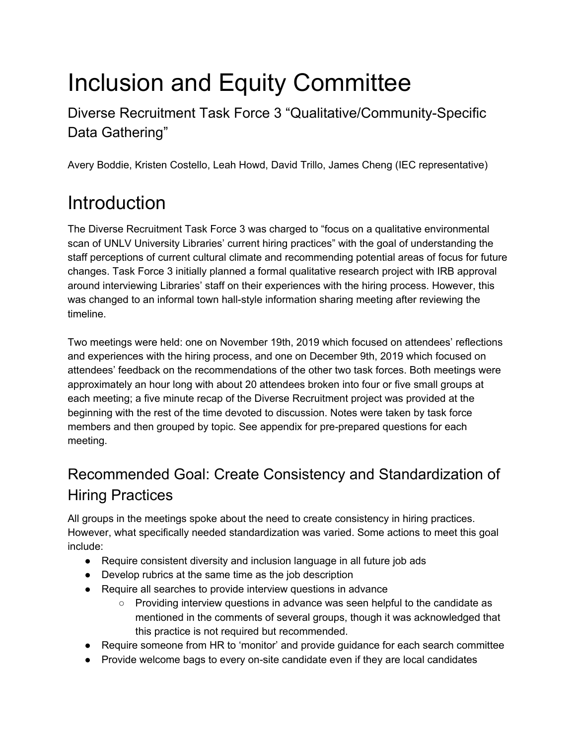# Inclusion and Equity Committee

Diverse Recruitment Task Force 3 "Qualitative/Community-Specific Data Gathering"

Avery Boddie, Kristen Costello, Leah Howd, David Trillo, James Cheng (IEC representative)

## **Introduction**

The Diverse Recruitment Task Force 3 was charged to "focus on a qualitative environmental scan of UNLV University Libraries' current hiring practices" with the goal of understanding the staff perceptions of current cultural climate and recommending potential areas of focus for future changes. Task Force 3 initially planned a formal qualitative research project with IRB approval around interviewing Libraries' staff on their experiences with the hiring process. However, this was changed to an informal town hall-style information sharing meeting after reviewing the timeline.

Two meetings were held: one on November 19th, 2019 which focused on attendees' reflections and experiences with the hiring process, and one on December 9th, 2019 which focused on attendees' feedback on the recommendations of the other two task forces. Both meetings were approximately an hour long with about 20 attendees broken into four or five small groups at each meeting; a five minute recap of the Diverse Recruitment project was provided at the beginning with the rest of the time devoted to discussion. Notes were taken by task force members and then grouped by topic. See appendix for pre-prepared questions for each meeting.

### Recommended Goal: Create Consistency and Standardization of Hiring Practices

All groups in the meetings spoke about the need to create consistency in hiring practices. However, what specifically needed standardization was varied. Some actions to meet this goal include:

- Require consistent diversity and inclusion language in all future job ads
- Develop rubrics at the same time as the job description
- Require all searches to provide interview questions in advance
	- Providing interview questions in advance was seen helpful to the candidate as mentioned in the comments of several groups, though it was acknowledged that this practice is not required but recommended.
- Require someone from HR to 'monitor' and provide guidance for each search committee
- Provide welcome bags to every on-site candidate even if they are local candidates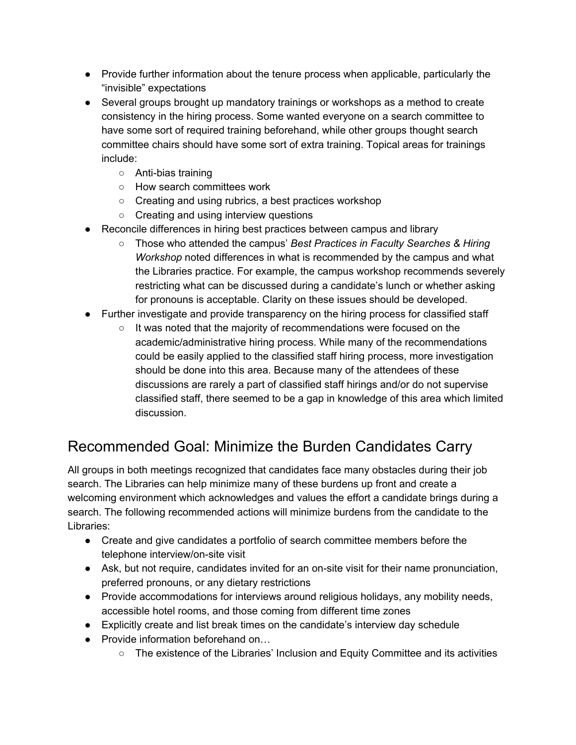- Provide further information about the tenure process when applicable, particularly the "invisible" expectations
- Several groups brought up mandatory trainings or workshops as a method to create consistency in the hiring process. Some wanted everyone on a search committee to have some sort of required training beforehand, while other groups thought search committee chairs should have some sort of extra training. Topical areas for trainings include:
	- Anti-bias training
	- How search committees work
	- Creating and using rubrics, a best practices workshop
	- Creating and using interview questions
- Reconcile differences in hiring best practices between campus and library
	- Those who attended the campus' *Best Practices in Faculty Searches & Hiring Workshop* noted differences in what is recommended by the campus and what the Libraries practice. For example, the campus workshop recommends severely restricting what can be discussed during a candidate's lunch or whether asking for pronouns is acceptable. Clarity on these issues should be developed.
- Further investigate and provide transparency on the hiring process for classified staff
	- It was noted that the majority of recommendations were focused on the academic/administrative hiring process. While many of the recommendations could be easily applied to the classified staff hiring process, more investigation should be done into this area. Because many of the attendees of these discussions are rarely a part of classified staff hirings and/or do not supervise classified staff, there seemed to be a gap in knowledge of this area which limited discussion.

#### Recommended Goal: Minimize the Burden Candidates Carry

All groups in both meetings recognized that candidates face many obstacles during their job search. The Libraries can help minimize many of these burdens up front and create a welcoming environment which acknowledges and values the effort a candidate brings during a search. The following recommended actions will minimize burdens from the candidate to the Libraries:

- Create and give candidates a portfolio of search committee members before the telephone interview/on-site visit
- Ask, but not require, candidates invited for an on-site visit for their name pronunciation, preferred pronouns, or any dietary restrictions
- Provide accommodations for interviews around religious holidays, any mobility needs, accessible hotel rooms, and those coming from different time zones
- Explicitly create and list break times on the candidate's interview day schedule
- Provide information beforehand on...
	- The existence of the Libraries' Inclusion and Equity Committee and its activities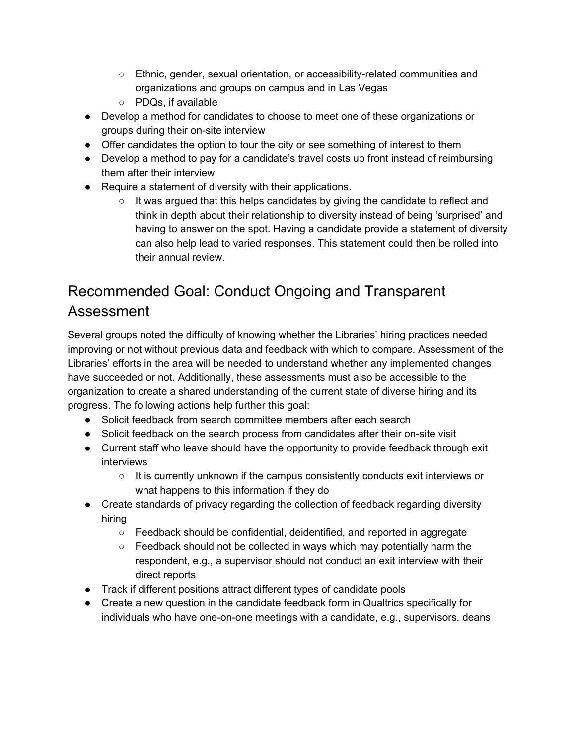- Ethnic, gender, sexual orientation, or accessibility-related communities and organizations and groups on campus and in Las Vegas
- PDQs, if available
- Develop a method for candidates to choose to meet one of these organizations or groups during their on-site interview
- Offer candidates the option to tour the city or see something of interest to them
- Develop a method to pay for a candidate's travel costs up front instead of reimbursing them after their interview
- Require a statement of diversity with their applications.
	- $\circ$  It was argued that this helps candidates by giving the candidate to reflect and think in depth about their relationship to diversity instead of being 'surprised' and having to answer on the spot. Having a candidate provide a statement of diversity can also help lead to varied responses. This statement could then be rolled into their annual review.

### Recommended Goal: Conduct Ongoing and Transparent Assessment

Several groups noted the difficulty of knowing whether the Libraries' hiring practices needed improving or not without previous data and feedback with which to compare. Assessment of the Libraries' efforts in the area will be needed to understand whether any implemented changes have succeeded or not. Additionally, these assessments must also be accessible to the organization to create a shared understanding of the current state of diverse hiring and its progress. The following actions help further this goal:

- Solicit feedback from search committee members after each search
- Solicit feedback on the search process from candidates after their on-site visit
- Current staff who leave should have the opportunity to provide feedback through exit interviews
	- It is currently unknown if the campus consistently conducts exit interviews or what happens to this information if they do
- Create standards of privacy regarding the collection of feedback regarding diversity hiring
	- Feedback should be confidential, deidentified, and reported in aggregate
	- $\circ$  Feedback should not be collected in ways which may potentially harm the respondent, e.g., a supervisor should not conduct an exit interview with their direct reports
- Track if different positions attract different types of candidate pools
- Create a new question in the candidate feedback form in Qualtrics specifically for individuals who have one-on-one meetings with a candidate, e.g., supervisors, deans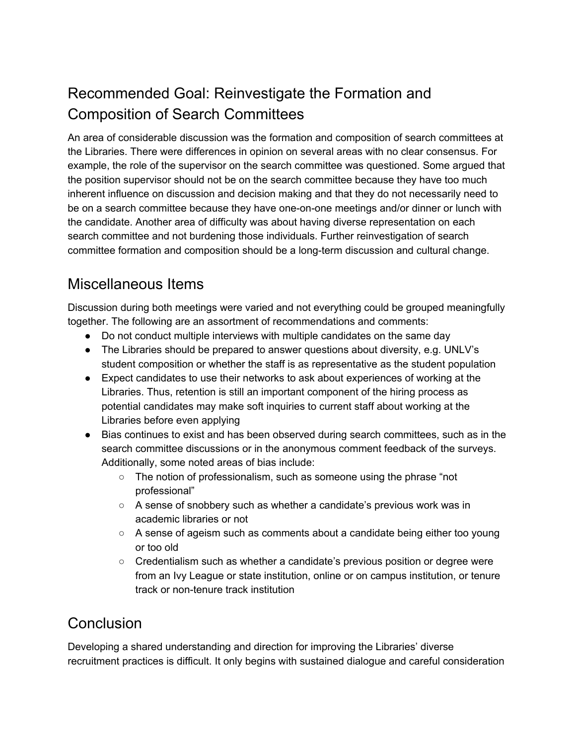#### Recommended Goal: Reinvestigate the Formation and Composition of Search Committees

An area of considerable discussion was the formation and composition of search committees at the Libraries. There were differences in opinion on several areas with no clear consensus. For example, the role of the supervisor on the search committee was questioned. Some argued that the position supervisor should not be on the search committee because they have too much inherent influence on discussion and decision making and that they do not necessarily need to be on a search committee because they have one-on-one meetings and/or dinner or lunch with the candidate. Another area of difficulty was about having diverse representation on each search committee and not burdening those individuals. Further reinvestigation of search committee formation and composition should be a long-term discussion and cultural change.

#### Miscellaneous Items

Discussion during both meetings were varied and not everything could be grouped meaningfully together. The following are an assortment of recommendations and comments:

- Do not conduct multiple interviews with multiple candidates on the same day
- The Libraries should be prepared to answer questions about diversity, e.g. UNLV's student composition or whether the staff is as representative as the student population
- Expect candidates to use their networks to ask about experiences of working at the Libraries. Thus, retention is still an important component of the hiring process as potential candidates may make soft inquiries to current staff about working at the Libraries before even applying
- Bias continues to exist and has been observed during search committees, such as in the search committee discussions or in the anonymous comment feedback of the surveys. Additionally, some noted areas of bias include:
	- The notion of professionalism, such as someone using the phrase "not professional"
	- A sense of snobbery such as whether a candidate's previous work was in academic libraries or not
	- $\circ$  A sense of ageism such as comments about a candidate being either too young or too old
	- Credentialism such as whether a candidate's previous position or degree were from an Ivy League or state institution, online or on campus institution, or tenure track or non-tenure track institution

#### Conclusion

Developing a shared understanding and direction for improving the Libraries' diverse recruitment practices is difficult. It only begins with sustained dialogue and careful consideration